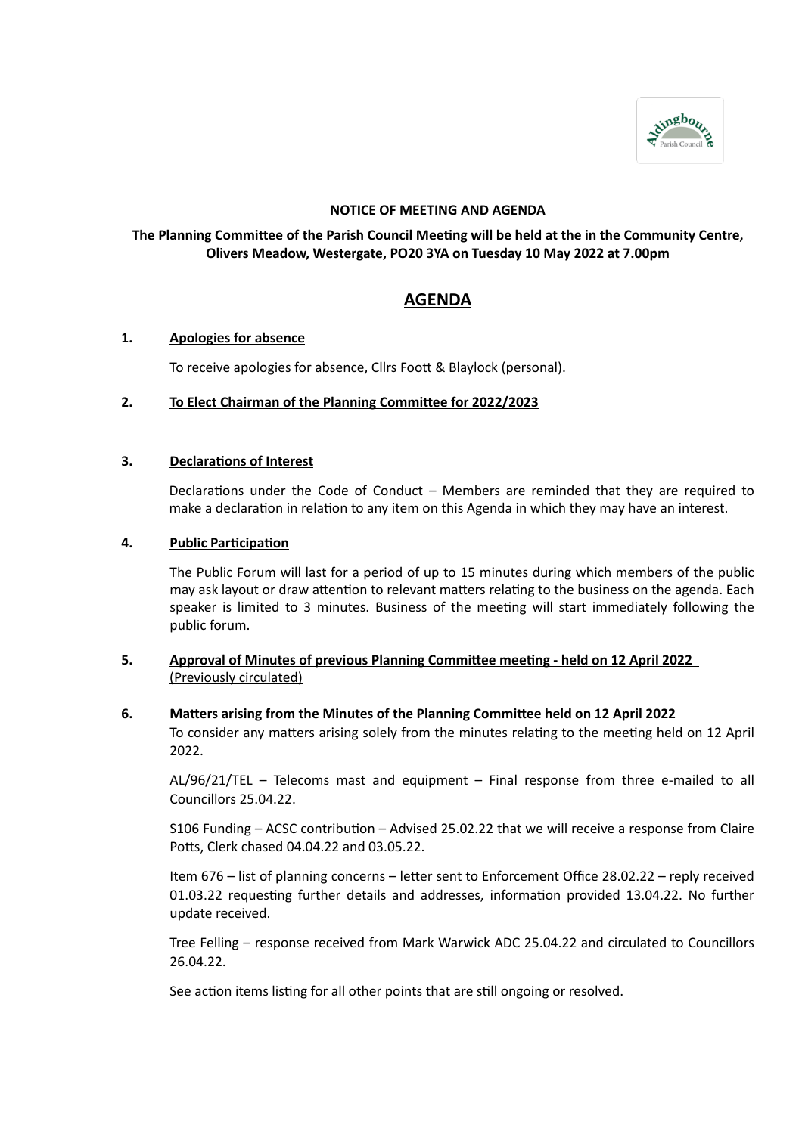

# **NOTICE OF MEETING AND AGENDA**

# **The Planning Committee of the Parish Council Meeting will be held at the in the Community Centre, Olivers Meadow, Westergate, PO20 3YA on Tuesday 10 May 2022 at 7.00pm**

# **AGENDA**

# **1. Apologies for absence**

To receive apologies for absence, Cllrs Foott & Blaylock (personal).

### **2. To Elect Chairman of the Planning Committee for 2022/2023**

### **3. Declarations of Interest**

Declarations under the Code of Conduct – Members are reminded that they are required to make a declaration in relation to any item on this Agenda in which they may have an interest.

### **4. Public Participation**

The Public Forum will last for a period of up to 15 minutes during which members of the public may ask layout or draw attention to relevant matters relating to the business on the agenda. Each speaker is limited to 3 minutes. Business of the meeting will start immediately following the public forum.

# **5. Approval of Minutes of previous Planning Committee meeting - held on 12 April 2022** (Previously circulated)

#### **6. Matters arising from the Minutes of the Planning Committee held on 12 April 2022**

To consider any matters arising solely from the minutes relating to the meeting held on 12 April 2022.

AL/96/21/TEL – Telecoms mast and equipment – Final response from three e-mailed to all Councillors 25.04.22.

S106 Funding – ACSC contribution – Advised 25.02.22 that we will receive a response from Claire Potts, Clerk chased 04.04.22 and 03.05.22.

Item 676 – list of planning concerns – letter sent to Enforcement Office 28.02.22 – reply received 01.03.22 requesting further details and addresses, information provided 13.04.22. No further update received.

Tree Felling – response received from Mark Warwick ADC 25.04.22 and circulated to Councillors 26.04.22.

See action items listing for all other points that are still ongoing or resolved.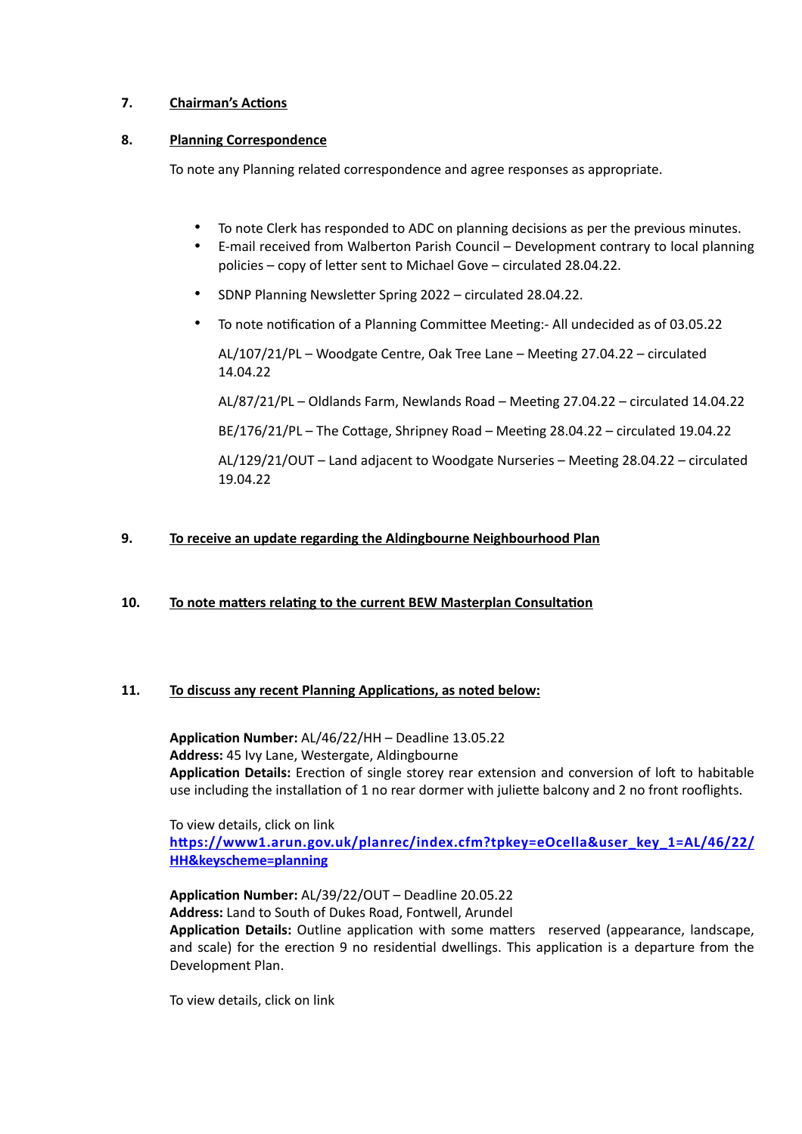# **7. Chairman's Actions**

# **8. Planning Correspondence**

To note any Planning related correspondence and agree responses as appropriate.

- To note Clerk has responded to ADC on planning decisions as per the previous minutes.
- E-mail received from Walberton Parish Council Development contrary to local planning policies – copy of letter sent to Michael Gove – circulated 28.04.22.
- SDNP Planning Newsletter Spring 2022 circulated 28.04.22.
- To note notification of a Planning Committee Meeting:- All undecided as of 03.05.22

AL/107/21/PL – Woodgate Centre, Oak Tree Lane – Meeting 27.04.22 – circulated 14.04.22

AL/87/21/PL – Oldlands Farm, Newlands Road – Meeting 27.04.22 – circulated 14.04.22

BE/176/21/PL – The Cottage, Shripney Road – Meeting 28.04.22 – circulated 19.04.22

AL/129/21/OUT – Land adjacent to Woodgate Nurseries – Meeting 28.04.22 – circulated 19.04.22

# **9. To receive an update regarding the Aldingbourne Neighbourhood Plan**

# **10. To note matters relating to the current BEW Masterplan Consultation**

# **11. To discuss any recent Planning Applications, as noted below:**

**Application Number:** AL/46/22/HH – Deadline 13.05.22 **Address:** 45 Ivy Lane, Westergate, Aldingbourne **Application Details:** Erection of single storey rear extension and conversion of loft to habitable use including the installation of 1 no rear dormer with juliette balcony and 2 no front rooflights.

To view details, click on link **[https://www1.arun.gov.uk/planrec/index.cfm?tpkey=eOcella&user\\_key\\_1=AL/46/22/](https://www1.arun.gov.uk/planrec/index.cfm?tpkey=eOcella&user_key_1=AL/46/22/HH&keyscheme=planning) [HH&keyscheme=planning](https://www1.arun.gov.uk/planrec/index.cfm?tpkey=eOcella&user_key_1=AL/46/22/HH&keyscheme=planning)** 

**Application Number:** AL/39/22/OUT – Deadline 20.05.22 **Address:** Land to South of Dukes Road, Fontwell, Arundel **Application Details:** Outline application with some matters reserved (appearance, landscape, and scale) for the erection 9 no residential dwellings. This application is a departure from the Development Plan.

To view details, click on link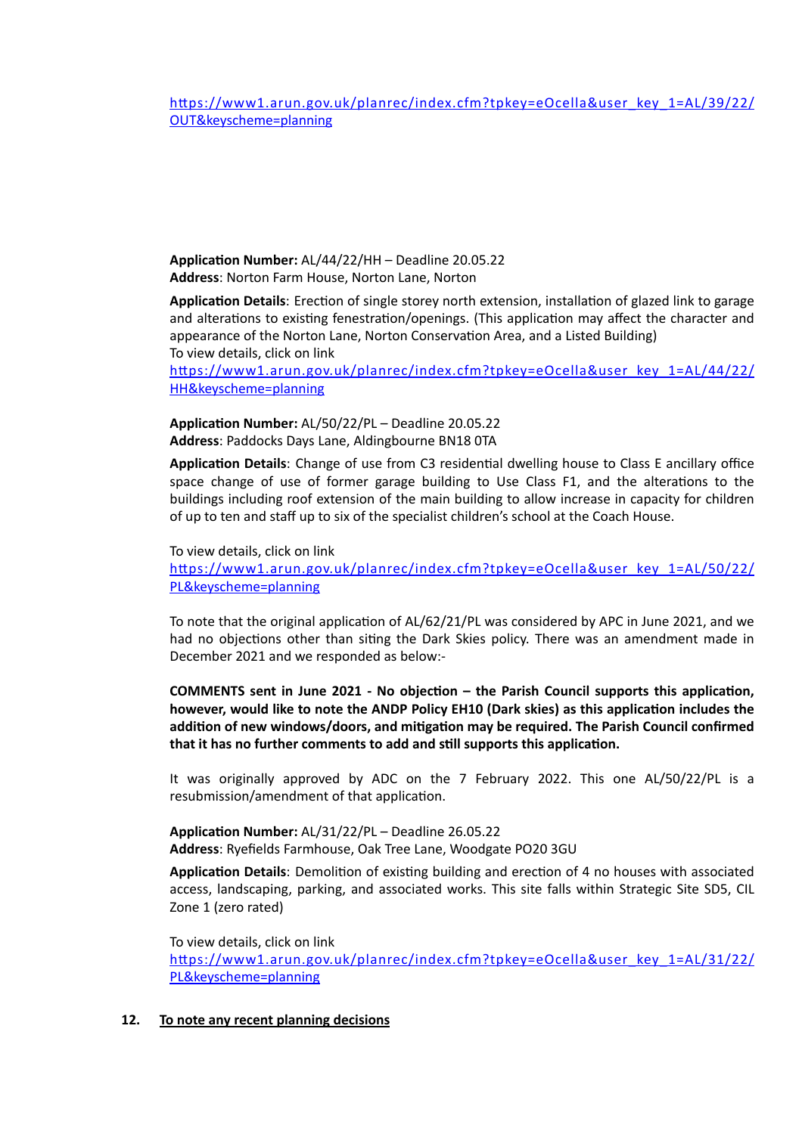[https://www1.arun.gov.uk/planrec/index.cfm?tpkey=eOcella&user\\_key\\_1=AL/39/22/](https://www1.arun.gov.uk/planrec/index.cfm?tpkey=eOcella&user_key_1=AL/39/22/OUT&keyscheme=planning) [OUT&keyscheme=planning](https://www1.arun.gov.uk/planrec/index.cfm?tpkey=eOcella&user_key_1=AL/39/22/OUT&keyscheme=planning) 

**Application Number:** AL/44/22/HH – Deadline 20.05.22 **Address**: Norton Farm House, Norton Lane, Norton

**Application Details**: Erection of single storey north extension, installation of glazed link to garage and alterations to existing fenestration/openings. (This application may affect the character and appearance of the Norton Lane, Norton Conservation Area, and a Listed Building) To view details, click on link

[https://www1.arun.gov.uk/planrec/index.cfm?tpkey=eOcella&user\\_key\\_1=AL/44/22/](https://www1.arun.gov.uk/planrec/index.cfm?tpkey=eOcella&user_key_1=AL/44/22/HH&keyscheme=planning) [HH&keyscheme=planning](https://www1.arun.gov.uk/planrec/index.cfm?tpkey=eOcella&user_key_1=AL/44/22/HH&keyscheme=planning)

**Application Number:** AL/50/22/PL – Deadline 20.05.22 **Address**: Paddocks Days Lane, Aldingbourne BN18 0TA

**Application Details**: Change of use from C3 residential dwelling house to Class E ancillary office space change of use of former garage building to Use Class F1, and the alterations to the buildings including roof extension of the main building to allow increase in capacity for children of up to ten and staff up to six of the specialist children's school at the Coach House.

To view details, click on link [https://www1.arun.gov.uk/planrec/index.cfm?tpkey=eOcella&user\\_key\\_1=AL/50/22/](https://www1.arun.gov.uk/planrec/index.cfm?tpkey=eOcella&user_key_1=AL/50/22/PL&keyscheme=planning) [PL&keyscheme=planning](https://www1.arun.gov.uk/planrec/index.cfm?tpkey=eOcella&user_key_1=AL/50/22/PL&keyscheme=planning)

To note that the original application of AL/62/21/PL was considered by APC in June 2021, and we had no objections other than siting the Dark Skies policy. There was an amendment made in December 2021 and we responded as below:-

**COMMENTS sent in June 2021 - No objection – the Parish Council supports this application, however, would like to note the ANDP Policy EH10 (Dark skies) as this application includes the addition of new windows/doors, and mitigation may be required. The Parish Council confirmed that it has no further comments to add and still supports this application.**

It was originally approved by ADC on the 7 February 2022. This one AL/50/22/PL is a resubmission/amendment of that application.

**Application Number:** AL/31/22/PL – Deadline 26.05.22 **Address**: Ryefields Farmhouse, Oak Tree Lane, Woodgate PO20 3GU

**Application Details**: Demolition of existing building and erection of 4 no houses with associated access, landscaping, parking, and associated works. This site falls within Strategic Site SD5, CIL Zone 1 (zero rated)

To view details, click on link [https://www1.arun.gov.uk/planrec/index.cfm?tpkey=eOcella&user\\_key\\_1=AL/31/22/](https://www1.arun.gov.uk/planrec/index.cfm?tpkey=eOcella&user_key_1=AL/31/22/PL&keyscheme=planning) [PL&keyscheme=planning](https://www1.arun.gov.uk/planrec/index.cfm?tpkey=eOcella&user_key_1=AL/31/22/PL&keyscheme=planning)

# **12. To note any recent planning decisions**